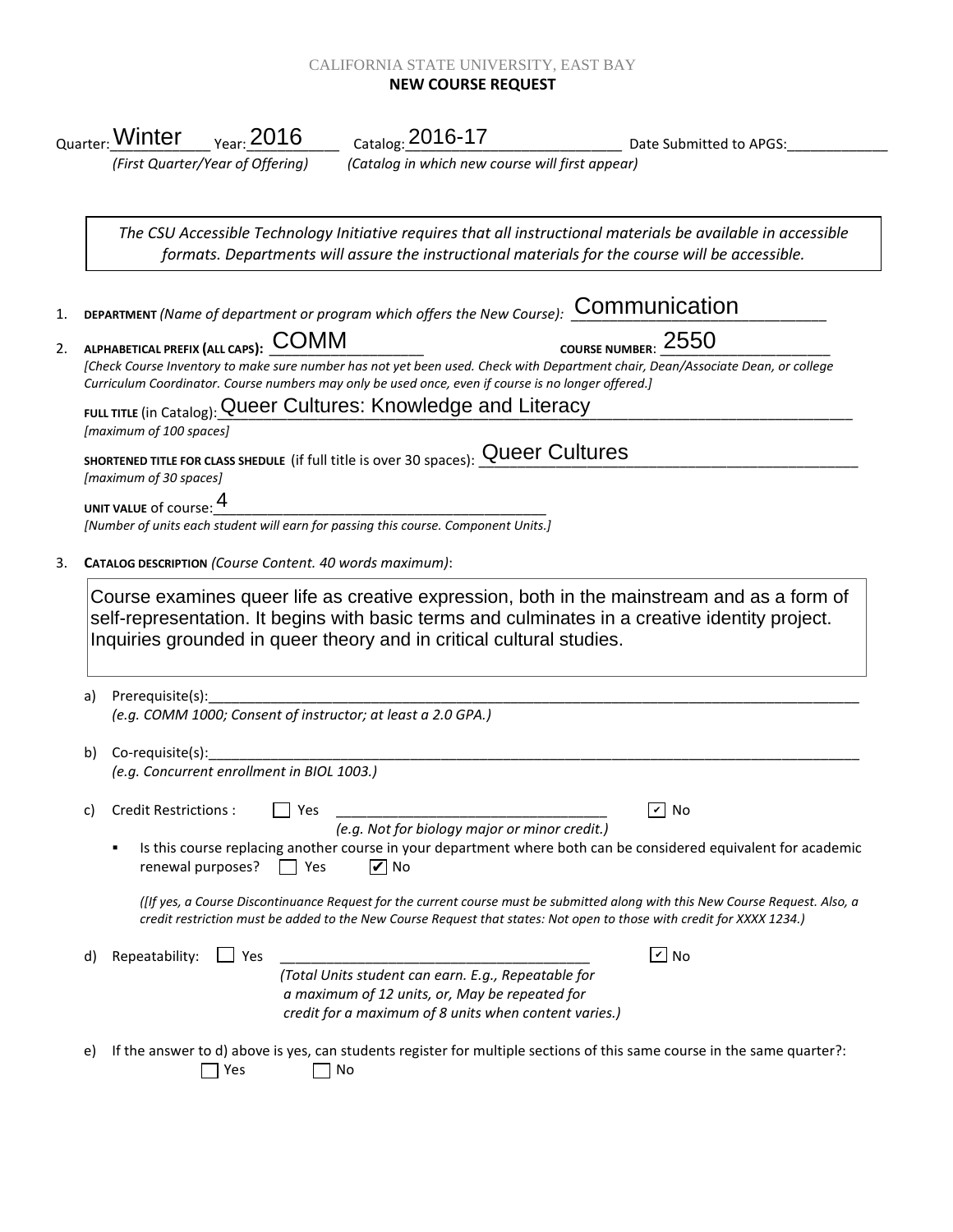## CALIFORNIA STATE UNIVERSITY, EAST BAY **NEW COURSE REQUEST**

|          |                                                                                                                                                                                                                                                                                                                              |                                            |                                                                                                                                                                | Date Submitted to APGS:                                                                                                                                                                                                                                 |  |  |  |
|----------|------------------------------------------------------------------------------------------------------------------------------------------------------------------------------------------------------------------------------------------------------------------------------------------------------------------------------|--------------------------------------------|----------------------------------------------------------------------------------------------------------------------------------------------------------------|---------------------------------------------------------------------------------------------------------------------------------------------------------------------------------------------------------------------------------------------------------|--|--|--|
|          |                                                                                                                                                                                                                                                                                                                              | (First Quarter/Year of Offering)           | (Catalog in which new course will first appear)                                                                                                                |                                                                                                                                                                                                                                                         |  |  |  |
|          |                                                                                                                                                                                                                                                                                                                              |                                            |                                                                                                                                                                | The CSU Accessible Technology Initiative requires that all instructional materials be available in accessible<br>formats. Departments will assure the instructional materials for the course will be accessible.                                        |  |  |  |
|          |                                                                                                                                                                                                                                                                                                                              |                                            |                                                                                                                                                                | DEPARTMENT (Name of department or program which offers the New Course): COMMUNICATION                                                                                                                                                                   |  |  |  |
|          | COURSE NUMBER: 2550<br>ALPHABETICAL PREFIX (ALL CAPS): $\mathsf{\underline{COMM}}$<br>[Check Course Inventory to make sure number has not yet been used. Check with Department chair, Dean/Associate Dean, or college<br>Curriculum Coordinator. Course numbers may only be used once, even if course is no longer offered.] |                                            |                                                                                                                                                                |                                                                                                                                                                                                                                                         |  |  |  |
|          | [maximum of 100 spaces]                                                                                                                                                                                                                                                                                                      |                                            | FULL TITLE (in Catalog): Queer Cultures: Knowledge and Literacy                                                                                                |                                                                                                                                                                                                                                                         |  |  |  |
|          | [maximum of 30 spaces]                                                                                                                                                                                                                                                                                                       |                                            | SHORTENED TITLE FOR CLASS SHEDULE (if full title is over 30 spaces): Queer Cultures                                                                            |                                                                                                                                                                                                                                                         |  |  |  |
|          | UNIT VALUE of course: 4<br>UNIT VALUE of course: The University of the University of Course. Component Units.]<br>[Number of units each student will earn for passing this course. Component Units.]                                                                                                                         |                                            |                                                                                                                                                                |                                                                                                                                                                                                                                                         |  |  |  |
|          |                                                                                                                                                                                                                                                                                                                              |                                            |                                                                                                                                                                |                                                                                                                                                                                                                                                         |  |  |  |
|          |                                                                                                                                                                                                                                                                                                                              |                                            | CATALOG DESCRIPTION (Course Content. 40 words maximum):                                                                                                        |                                                                                                                                                                                                                                                         |  |  |  |
|          |                                                                                                                                                                                                                                                                                                                              |                                            | Inquiries grounded in queer theory and in critical cultural studies.                                                                                           | Course examines queer life as creative expression, both in the mainstream and as a form of<br>self-representation. It begins with basic terms and culminates in a creative identity project.                                                            |  |  |  |
|          | Prerequisite(s):                                                                                                                                                                                                                                                                                                             |                                            | (e.g. COMM 1000; Consent of instructor; at least a 2.0 GPA.)                                                                                                   |                                                                                                                                                                                                                                                         |  |  |  |
|          |                                                                                                                                                                                                                                                                                                                              | (e.g. Concurrent enrollment in BIOL 1003.) |                                                                                                                                                                |                                                                                                                                                                                                                                                         |  |  |  |
|          | <b>Credit Restrictions:</b>                                                                                                                                                                                                                                                                                                  | Yes                                        | (e.g. Not for biology major or minor credit.)                                                                                                                  | $\overline{v}$ No                                                                                                                                                                                                                                       |  |  |  |
|          |                                                                                                                                                                                                                                                                                                                              | renewal purposes?<br>$ $ Yes               | $\overline{V}$ No                                                                                                                                              | Is this course replacing another course in your department where both can be considered equivalent for academic                                                                                                                                         |  |  |  |
|          |                                                                                                                                                                                                                                                                                                                              |                                            |                                                                                                                                                                | (IIf yes, a Course Discontinuance Request for the current course must be submitted along with this New Course Request. Also, a<br>credit restriction must be added to the New Course Request that states: Not open to those with credit for XXXX 1234.) |  |  |  |
| a)<br>b) | Repeatability:                                                                                                                                                                                                                                                                                                               | $\Box$ Yes                                 |                                                                                                                                                                | $\sqrt{2}$ No                                                                                                                                                                                                                                           |  |  |  |
| C)<br>d) |                                                                                                                                                                                                                                                                                                                              |                                            | (Total Units student can earn. E.g., Repeatable for<br>a maximum of 12 units, or, May be repeated for<br>credit for a maximum of 8 units when content varies.) |                                                                                                                                                                                                                                                         |  |  |  |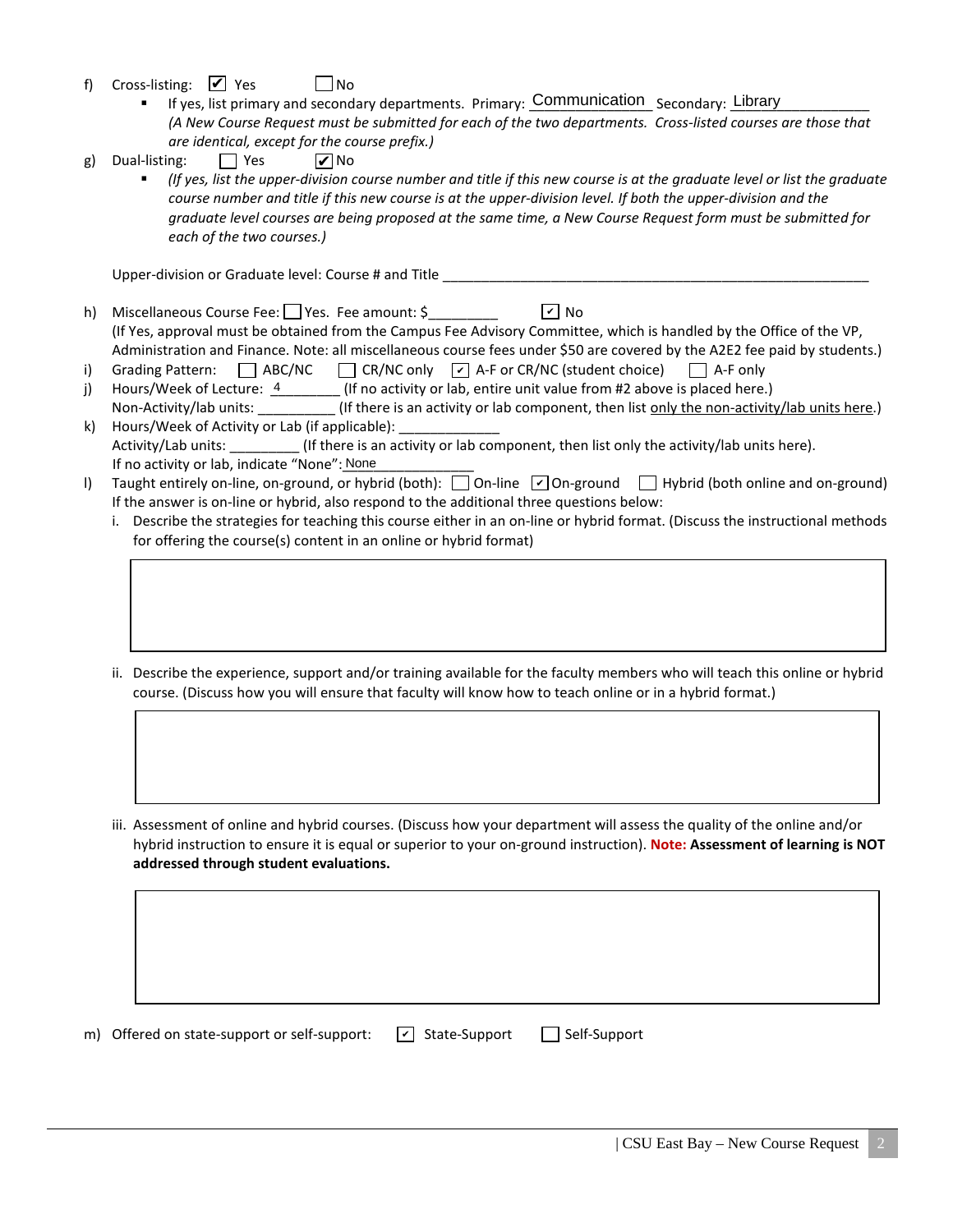- f) Cross-listing:  $\blacksquare$  Yes  $\blacksquare$  No
	- If yes, list primary and secondary departments. Primary: Communication Secondary: Library *(A New Course Request must be submitted for each of the two departments. Cross-listed courses are those that are identical, except for the course prefix.)*
- g) Dual-listing:  $\Box$  Yes **⊘**No
	- *(If yes, list the upper-division course number and title if this new course is at the graduate level or list the graduate course number and title if this new course is at the upper-division level. If both the upper-division and the graduate level courses are being proposed at the same time, a New Course Request form must be submitted for each of the two courses.)*

Upper-division or Graduate level: Course # and Title \_\_\_\_\_\_\_\_\_\_\_\_\_\_\_\_\_\_\_\_\_\_\_\_\_\_\_

- h) Miscellaneous Course Fee: Yes. Fee amount: \$ (If Yes, approval must be obtained from the Campus Fee Advisory Committee, which is handled by the Office of the VP, Administration and Finance. Note: all miscellaneous course fees under \$50 are covered by the A2E2 fee paid by students.)  $\sqrt{2}$  No
- i) Grading Pattern:  $\Box$  ABC/NC  $\Box$  CR/NC only  $\Box$  A-F or CR/NC (student choice)  $\Box$  A-F only
- j) Hours/Week of Lecture:  $\frac{4}{1}$  (If no activity or lab, entire unit value from #2 above is placed here.) Non-Activity/lab units: \_\_\_\_\_\_\_\_\_\_\_(If there is an activity or lab component, then list only the non-activity/lab units here.)
- k) Hours/Week of Activity or Lab (if applicable): Activity/Lab units: \_\_\_\_\_\_\_\_\_ (If there is an activity or lab component, then list only the activity/lab units here). If no activity or lab, indicate "None": None
- I) Taught entirely on-line, on-ground, or hybrid (both): 0n-line [O] On-ground Hybrid (both online and on-ground) If the answer is on-line or hybrid, also respond to the additional three questions below:
	- i. Describe the strategies for teaching this course either in an on-line or hybrid format. (Discuss the instructional methods for offering the course(s) content in an online or hybrid format)
	- ii. Describe the experience, support and/or training available for the faculty members who will teach this online or hybrid course. (Discuss how you will ensure that faculty will know how to teach online or in a hybrid format.)
	- iii. Assessment of online and hybrid courses. (Discuss how your department will assess the quality of the online and/or hybrid instruction to ensure it is equal or superior to your on-ground instruction). **Note: Assessment of learning is NOT addressed through student evaluations.**

m) Offered on state-support or self-support:  $\boxed{\phantom{s}}$  State-Support  $\boxed{\phantom{s}}$  Self-Support  $\boxed{\mathbf{v}}$  State-Support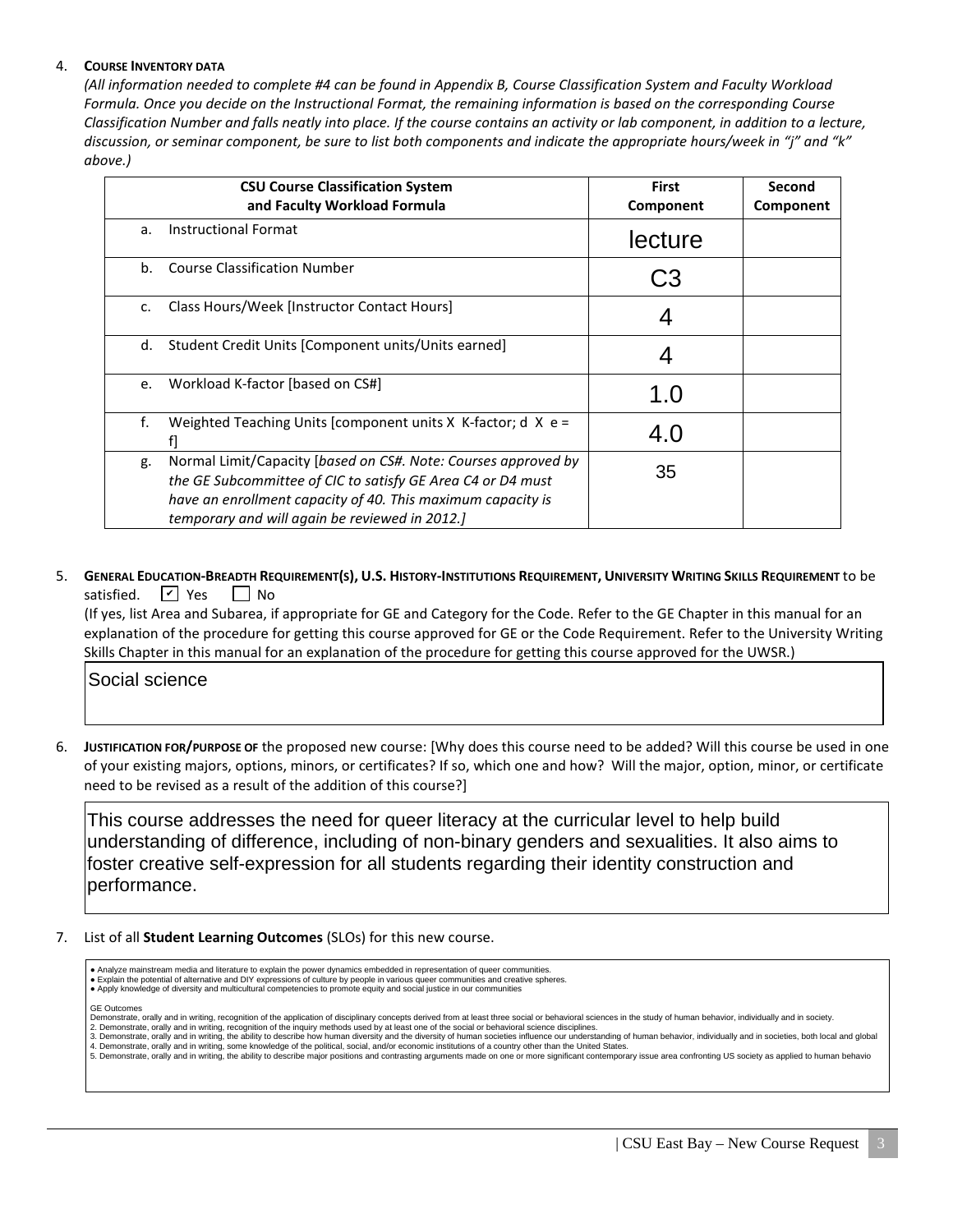## 4. **COURSE INVENTORY DATA**

*(All information needed to complete #4 can be found in Appendix B, Course Classification System and Faculty Workload Formula. Once you decide on the Instructional Format, the remaining information is based on the corresponding Course Classification Number and falls neatly into place. If the course contains an activity or lab component, in addition to a lecture, discussion, or seminar component, be sure to list both components and indicate the appropriate hours/week in "j" and "k" above.)*

|               | <b>CSU Course Classification System</b><br>and Faculty Workload Formula                                                                                                                                                                        | <b>First</b><br>Component | Second<br>Component |
|---------------|------------------------------------------------------------------------------------------------------------------------------------------------------------------------------------------------------------------------------------------------|---------------------------|---------------------|
| a.            | <b>Instructional Format</b>                                                                                                                                                                                                                    | lecture                   |                     |
| b.            | <b>Course Classification Number</b>                                                                                                                                                                                                            |                           |                     |
| $C_{\bullet}$ | Class Hours/Week [Instructor Contact Hours]                                                                                                                                                                                                    |                           |                     |
| d.            | Student Credit Units [Component units/Units earned]                                                                                                                                                                                            |                           |                     |
| e.            | Workload K-factor [based on CS#]                                                                                                                                                                                                               | 1.0                       |                     |
| f.            | Weighted Teaching Units [component units $X$ K-factor; d $X$ e =                                                                                                                                                                               | 4.0                       |                     |
| g.            | Normal Limit/Capacity [based on CS#. Note: Courses approved by<br>the GE Subcommittee of CIC to satisfy GE Area C4 or D4 must<br>have an enrollment capacity of 40. This maximum capacity is<br>temporary and will again be reviewed in 2012.] | 35                        |                     |

5. **GENERAL EDUCATION-BREADTH REQUIREMENT(S), U.S. HISTORY-INSTITUTIONS REQUIREMENT, UNIVERSITY WRITING SKILLS REQUIREMENT** to be satisfied.  $\vert \nu \vert$  Yes  $\vert \vert$  No ✔

 (If yes, list Area and Subarea, if appropriate for GE and Category for the Code. Refer to the GE Chapter in this manual for an explanation of the procedure for getting this course approved for GE or the Code Requirement. Refer to the University Writing Skills Chapter in this manual for an explanation of the procedure for getting this course approved for the UWSR.)

Social science

6. **JUSTIFICATION FOR/PURPOSE OF** the proposed new course: [Why does this course need to be added? Will this course be used in one of your existing majors, options, minors, or certificates? If so, which one and how? Will the major, option, minor, or certificate need to be revised as a result of the addition of this course?]

This course addresses the need for queer literacy at the curricular level to help build understanding of difference, including of non-binary genders and sexualities. It also aims to foster creative self-expression for all students regarding their identity construction and performance.

7. List of all **Student Learning Outcomes** (SLOs) for this new course.

| • Analyze mainstream media and literature to explain the power dynamics embedded in representation of queer communities.<br>Explain the potential of alternative and DIY expressions of culture by people in various queer communities and creative spheres.<br>• Apply knowledge of diversity and multicultural competencies to promote equity and social justice in our communities                                                                                                                                                                                                                                                                                                                                                                                                                                                                                                                                                                                                                        |
|--------------------------------------------------------------------------------------------------------------------------------------------------------------------------------------------------------------------------------------------------------------------------------------------------------------------------------------------------------------------------------------------------------------------------------------------------------------------------------------------------------------------------------------------------------------------------------------------------------------------------------------------------------------------------------------------------------------------------------------------------------------------------------------------------------------------------------------------------------------------------------------------------------------------------------------------------------------------------------------------------------------|
| <b>GE Outcomes</b><br>Demonstrate, orally and in writing, recognition of the application of disciplinary concepts derived from at least three social or behavioral sciences in the study of human behavior, individually and in society.<br>2. Demonstrate, orally and in writing, recognition of the inquiry methods used by at least one of the social or behavioral science disciplines.<br>3. Demonstrate, orally and in writing, the ability to describe how human diversity and the diversity of human societies influence our understanding of human behavior, individually and in societies, both local and global<br>4. Demonstrate, orally and in writing, some knowledge of the political, social, and/or economic institutions of a country other than the United States.<br>5. Demonstrate, orally and in writing, the ability to describe major positions and contrasting arguments made on one or more significant contemporary issue area confronting US society as applied to human behavio |